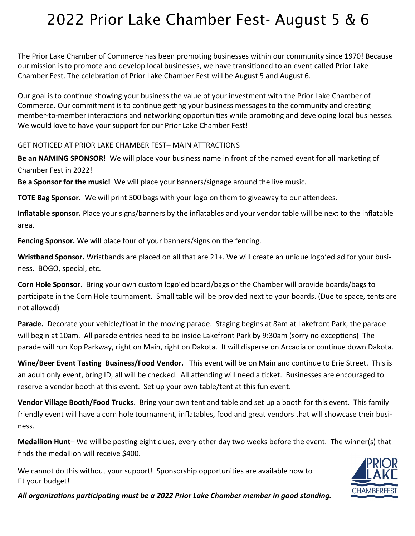## 2022 Prior Lake Chamber Fest- August 5 & 6

The Prior Lake Chamber of Commerce has been promoting businesses within our community since 1970! Because our mission is to promote and develop local businesses, we have transitioned to an event called Prior Lake Chamber Fest. The celebration of Prior Lake Chamber Fest will be August 5 and August 6.

Our goal is to continue showing your business the value of your investment with the Prior Lake Chamber of Commerce. Our commitment is to continue getting your business messages to the community and creating member-to-member interactions and networking opportunities while promoting and developing local businesses. We would love to have your support for our Prior Lake Chamber Fest!

GET NOTICED AT PRIOR LAKE CHAMBER FEST– MAIN ATTRACTIONS

**Be an NAMING SPONSOR**! We will place your business name in front of the named event for all marketing of Chamber Fest in 2022!

**Be a Sponsor for the music!** We will place your banners/signage around the live music.

**TOTE Bag Sponsor.** We will print 500 bags with your logo on them to giveaway to our attendees.

**Inflatable sponsor.** Place your signs/banners by the inflatables and your vendor table will be next to the inflatable area.

**Fencing Sponsor.** We will place four of your banners/signs on the fencing.

**Wristband Sponsor.** Wristbands are placed on all that are 21+. We will create an unique logo'ed ad for your business. BOGO, special, etc.

**Corn Hole Sponsor**. Bring your own custom logo'ed board/bags or the Chamber will provide boards/bags to participate in the Corn Hole tournament. Small table will be provided next to your boards. (Due to space, tents are not allowed)

**Parade.** Decorate your vehicle/float in the moving parade. Staging begins at 8am at Lakefront Park, the parade will begin at 10am. All parade entries need to be inside Lakefront Park by 9:30am (sorry no exceptions) The parade will run Kop Parkway, right on Main, right on Dakota. It will disperse on Arcadia or continue down Dakota.

**Wine/Beer Event Tasting Business/Food Vendor.** This event will be on Main and continue to Erie Street. This is an adult only event, bring ID, all will be checked. All attending will need a ticket. Businesses are encouraged to reserve a vendor booth at this event. Set up your own table/tent at this fun event.

**Vendor Village Booth/Food Trucks**. Bring your own tent and table and set up a booth for this event. This family friendly event will have a corn hole tournament, inflatables, food and great vendors that will showcase their business.

**Medallion Hunt**– We will be posting eight clues, every other day two weeks before the event. The winner(s) that finds the medallion will receive \$400.

We cannot do this without your support! Sponsorship opportunities are available now to fit your budget!



*All organizations participating must be a 2022 Prior Lake Chamber member in good standing.*